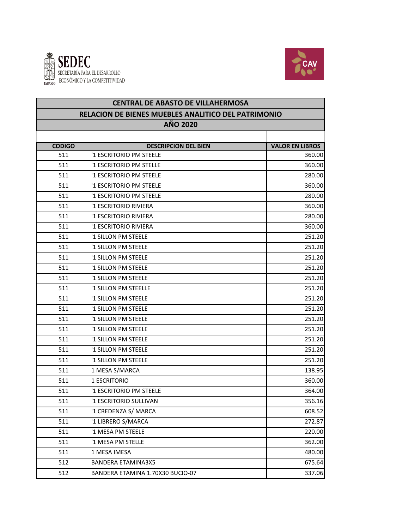



| <b>CENTRAL DE ABASTO DE VILLAHERMOSA</b><br><b>RELACION DE BIENES MUEBLES ANALITICO DEL PATRIMONIO</b> |                                  |                        |  |  |
|--------------------------------------------------------------------------------------------------------|----------------------------------|------------------------|--|--|
|                                                                                                        | AÑO 2020                         |                        |  |  |
| <b>CODIGO</b>                                                                                          | <b>DESCRIPCION DEL BIEN</b>      | <b>VALOR EN LIBROS</b> |  |  |
| 511                                                                                                    | '1 ESCRITORIO PM STEELE          | 360.00                 |  |  |
| 511                                                                                                    | '1 ESCRITORIO PM STELLE          | 360.00                 |  |  |
| 511                                                                                                    | '1 ESCRITORIO PM STEELE          | 280.00                 |  |  |
| 511                                                                                                    | '1 ESCRITORIO PM STEELE          | 360.00                 |  |  |
| 511                                                                                                    | '1 ESCRITORIO PM STEELE          | 280.00                 |  |  |
| 511                                                                                                    | '1 ESCRITORIO RIVIERA            | 360.00                 |  |  |
| 511                                                                                                    | '1 ESCRITORIO RIVIERA            | 280.00                 |  |  |
| 511                                                                                                    | '1 ESCRITORIO RIVIERA            | 360.00                 |  |  |
| 511                                                                                                    | '1 SILLON PM STEELE              | 251.20                 |  |  |
| 511                                                                                                    | '1 SILLON PM STEELE              | 251.20                 |  |  |
| 511                                                                                                    | '1 SILLON PM STEELE              | 251.20                 |  |  |
| 511                                                                                                    | '1 SILLON PM STEELE              | 251.20                 |  |  |
| 511                                                                                                    | '1 SILLON PM STEELE              | 251.20                 |  |  |
| 511                                                                                                    | '1 SILLON PM STEELLE             | 251.20                 |  |  |
| 511                                                                                                    | '1 SILLON PM STEELE              | 251.20                 |  |  |
| 511                                                                                                    | '1 SILLON PM STEELE              | 251.20                 |  |  |
| 511                                                                                                    | '1 SILLON PM STEELE              | 251.20                 |  |  |
| 511                                                                                                    | '1 SILLON PM STEELE              | 251.20                 |  |  |
| 511                                                                                                    | '1 SILLON PM STEELE              | 251.20                 |  |  |
| 511                                                                                                    | '1 SILLON PM STEELE              | 251.20                 |  |  |
| 511                                                                                                    | '1 SILLON PM STEELE              | 251.20                 |  |  |
| 511                                                                                                    | 1 MESA S/MARCA                   | 138.95                 |  |  |
| 511                                                                                                    | 1 ESCRITORIO                     | 360.00                 |  |  |
| 511                                                                                                    | '1 ESCRITORIO PM STEELE          | 364.00                 |  |  |
| 511                                                                                                    | '1 ESCRITORIO SULLIVAN           | 356.16                 |  |  |
| 511                                                                                                    | '1 CREDENZA S/ MARCA             | 608.52                 |  |  |
| 511                                                                                                    | '1 LIBRERO S/MARCA               | 272.87                 |  |  |
| 511                                                                                                    | '1 MESA PM STEELE                | 220.00                 |  |  |
| 511                                                                                                    | '1 MESA PM STELLE                | 362.00                 |  |  |
| 511                                                                                                    | 1 MESA IMESA                     | 480.00                 |  |  |
| 512                                                                                                    | <b>BANDERA ETAMINA3X5</b>        | 675.64                 |  |  |
| 512                                                                                                    | BANDERA ETAMINA 1.70X30 BUCIO-07 | 337.06                 |  |  |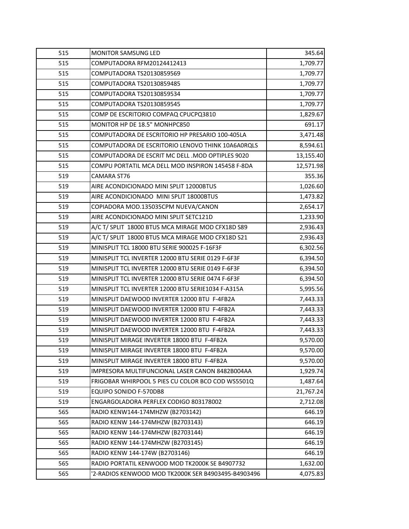| 515 | <b>MONITOR SAMSUNG LED</b>                          | 345.64    |
|-----|-----------------------------------------------------|-----------|
| 515 | COMPUTADORA RFM20124412413                          | 1,709.77  |
| 515 | COMPUTADORA TS20130859569                           | 1,709.77  |
| 515 | COMPUTADORA TS20130859485                           | 1,709.77  |
| 515 | COMPUTADORA TS20130859534                           | 1,709.77  |
| 515 | COMPUTADORA TS20130859545                           | 1,709.77  |
| 515 | COMP DE ESCRITORIO COMPAQ CPUCPQ3810                | 1,829.67  |
| 515 | MONITOR HP DE 18.5" MONHPC850                       | 691.17    |
| 515 | COMPUTADORA DE ESCRITORIO HP PRESARIO 100-405LA     | 3,471.48  |
| 515 | COMPUTADORA DE ESCRITORIO LENOVO THINK 10A6A0RQLS   | 8,594.61  |
| 515 | COMPUTADORA DE ESCRIT MC DELL .MOD OPTIPLES 9020    | 13,155.40 |
| 515 | COMPU PORTATIL MCA DELL MOD INSPIRON 145458 F-8DA   | 12,571.98 |
| 519 | CAMARA ST76                                         | 355.36    |
| 519 | AIRE ACONDICIONADO MINI SPLIT 12000BTUS             | 1,026.60  |
| 519 | AIRE ACONDICIONADO MINI SPLIT 18000BTUS             | 1,473.82  |
| 519 | COPIADORA MOD.135035CPM NUEVA/CANON                 | 2,654.17  |
| 519 | AIRE ACONDICIONADO MINI SPLIT SETC121D              | 1,233.90  |
| 519 | A/C T/ SPLIT 18000 BTUS MCA MIRAGE MOD CFX18D S89   | 2,936.43  |
| 519 | A/C T/ SPLIT 18000 BTUS MCA MIRAGE MOD CFX18D S21   | 2,936.43  |
| 519 | MINISPLIT TCL 18000 BTU SERIE 900025 F-16F3F        | 6,302.56  |
| 519 | MINISPLIT TCL INVERTER 12000 BTU SERIE 0129 F-6F3F  | 6,394.50  |
| 519 | MINISPLIT TCL INVERTER 12000 BTU SERIE 0149 F-6F3F  | 6,394.50  |
| 519 | MINISPLIT TCL INVERTER 12000 BTU SERIE 0474 F-6F3F  | 6,394.50  |
| 519 | MINISPLIT TCL INVERTER 12000 BTU SERIE1034 F-A315A  | 5,995.56  |
| 519 | MINISPLIT DAEWOOD INVERTER 12000 BTU F-4FB2A        | 7,443.33  |
| 519 | MINISPLIT DAEWOOD INVERTER 12000 BTU F-4FB2A        | 7,443.33  |
| 519 | MINISPLIT DAEWOOD INVERTER 12000 BTU F-4FB2A        | 7,443.33  |
| 519 | MINISPLIT DAEWOOD INVERTER 12000 BTU F-4FB2A        | 7,443.33  |
| 519 | MINISPLIT MIRAGE INVERTER 18000 BTU F-4FB2A         | 9,570.00  |
| 519 | MINISPLIT MIRAGE INVERTER 18000 BTU F-4FB2A         | 9,570.00  |
| 519 | MINISPLIT MIRAGE INVERTER 18000 BTU F-4FB2A         | 9,570.00  |
| 519 | IMPRESORA MULTIFUNCIONAL LASER CANON 8482B004AA     | 1,929.74  |
| 519 | FRIGOBAR WHIRPOOL 5 PIES CU COLOR BCO COD WS5501Q   | 1,487.64  |
| 519 | EQUIPO SONIDO F-570DB8                              | 21,767.24 |
| 519 | ENGARGOLADORA PERFLEX CODIGO 803178002              | 2,712.08  |
| 565 | RADIO KENW144-174MHZW (B2703142)                    | 646.19    |
| 565 | RADIO KENW 144-174MHZW (B2703143)                   | 646.19    |
| 565 | RADIO KENW 144-174MHZW (B2703144)                   | 646.19    |
| 565 | RADIO KENW 144-174MHZW (B2703145)                   | 646.19    |
| 565 | RADIO KENW 144-174W (B2703146)                      | 646.19    |
| 565 | RADIO PORTATIL KENWOOD MOD TK2000K SE B4907732      | 1,632.00  |
| 565 | '2-RADIOS KENWOOD MOD TK2000K SER B4903495-B4903496 | 4,075.83  |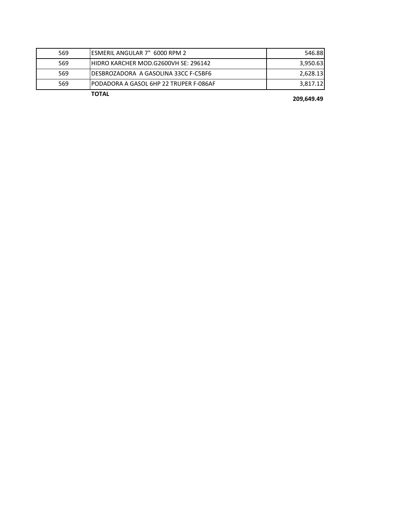|     | <b>TOTAL</b>                            |          |
|-----|-----------------------------------------|----------|
| 569 | IPODADORA A GASOL 6HP 22 TRUPER F-086AF | 3,817.12 |
| 569 | IDESBROZADORA A GASOLINA 33CC F-C5BF6   | 2.628.13 |
| 569 | HIDRO KARCHER MOD.G2600VH SE: 296142    | 3,950.63 |
| 569 | ESMERIL ANGULAR 7" 6000 RPM 2           | 546.88   |

**209,649.49**